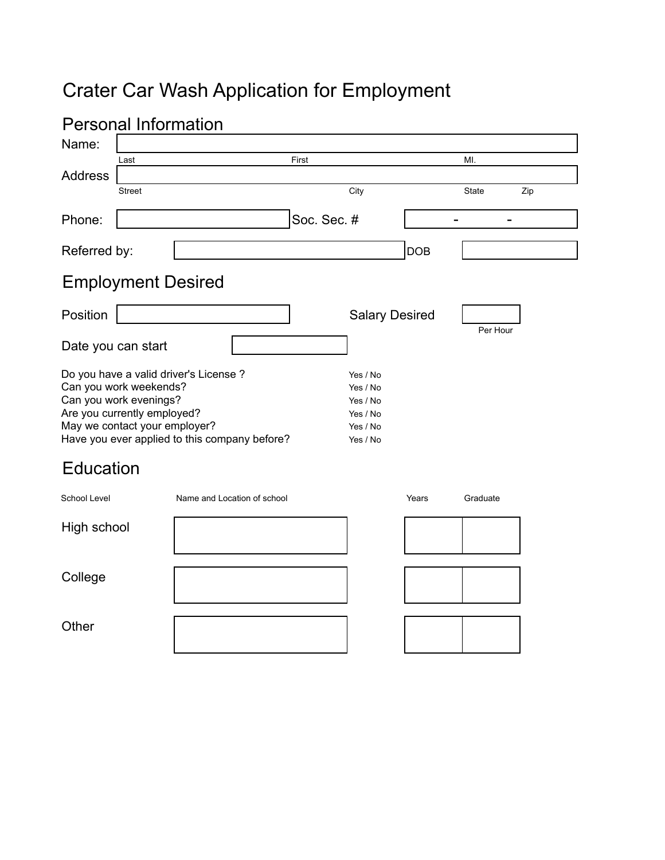# Crater Car Wash Application for Employment

| <b>Personal Information</b>                                                                                                                                                                                 |                           |                             |  |                                                                      |                       |            |              |     |
|-------------------------------------------------------------------------------------------------------------------------------------------------------------------------------------------------------------|---------------------------|-----------------------------|--|----------------------------------------------------------------------|-----------------------|------------|--------------|-----|
| Name:                                                                                                                                                                                                       |                           |                             |  |                                                                      |                       |            |              |     |
|                                                                                                                                                                                                             | Last                      |                             |  | First                                                                |                       |            | MI.          |     |
| <b>Address</b>                                                                                                                                                                                              |                           |                             |  |                                                                      |                       |            |              |     |
|                                                                                                                                                                                                             | <b>Street</b>             |                             |  |                                                                      | City                  |            | <b>State</b> | Zip |
| Phone:                                                                                                                                                                                                      |                           |                             |  | Soc. Sec. #                                                          |                       |            |              |     |
| Referred by:                                                                                                                                                                                                |                           |                             |  |                                                                      |                       | <b>DOB</b> |              |     |
|                                                                                                                                                                                                             | <b>Employment Desired</b> |                             |  |                                                                      |                       |            |              |     |
| Position                                                                                                                                                                                                    |                           |                             |  |                                                                      | <b>Salary Desired</b> |            |              |     |
|                                                                                                                                                                                                             | Date you can start        |                             |  |                                                                      |                       |            | Per Hour     |     |
| Do you have a valid driver's License ?<br>Can you work weekends?<br>Can you work evenings?<br>Are you currently employed?<br>May we contact your employer?<br>Have you ever applied to this company before? |                           |                             |  | Yes / No<br>Yes / No<br>Yes / No<br>Yes / No<br>Yes / No<br>Yes / No |                       |            |              |     |
| <b>Education</b>                                                                                                                                                                                            |                           |                             |  |                                                                      |                       |            |              |     |
| School Level                                                                                                                                                                                                |                           | Name and Location of school |  |                                                                      |                       | Years      | Graduate     |     |
| High school                                                                                                                                                                                                 |                           |                             |  |                                                                      |                       |            |              |     |
| College                                                                                                                                                                                                     |                           |                             |  |                                                                      |                       |            |              |     |
| Other                                                                                                                                                                                                       |                           |                             |  |                                                                      |                       |            |              |     |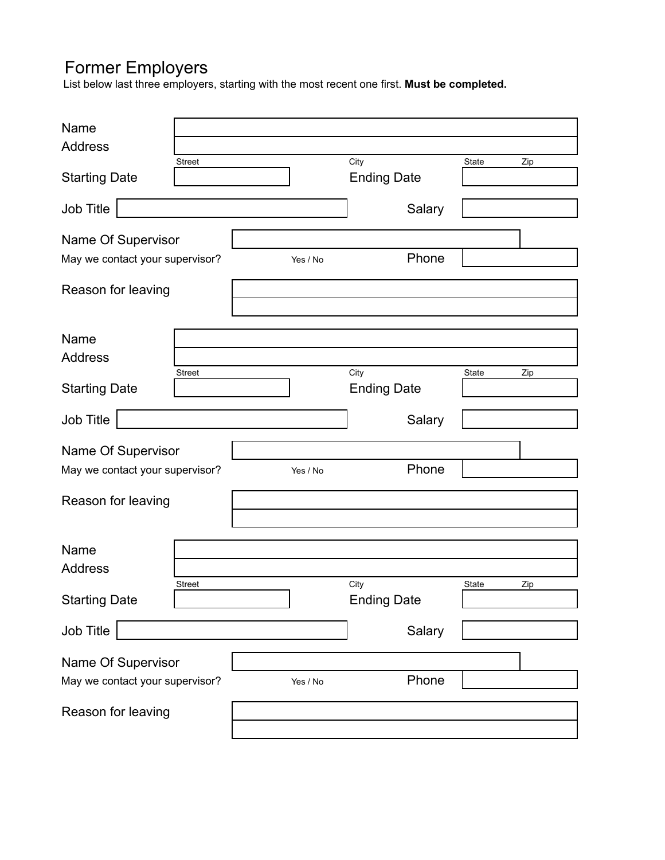## Former Employers

List below last three employers, starting with the most recent one first. **Must be completed.**

| Name<br><b>Address</b>          | <b>Street</b> |  |          | City                       | State | Zip |
|---------------------------------|---------------|--|----------|----------------------------|-------|-----|
| <b>Starting Date</b>            |               |  |          | <b>Ending Date</b>         |       |     |
| Job Title                       |               |  |          | Salary                     |       |     |
| Name Of Supervisor              |               |  |          |                            |       |     |
| May we contact your supervisor? |               |  | Yes / No | Phone                      |       |     |
| Reason for leaving              |               |  |          |                            |       |     |
| Name                            |               |  |          |                            |       |     |
| <b>Address</b>                  |               |  |          |                            |       |     |
| <b>Starting Date</b>            | <b>Street</b> |  |          | City<br><b>Ending Date</b> | State | Zip |
| Job Title                       |               |  |          | Salary                     |       |     |
| Name Of Supervisor              |               |  |          |                            |       |     |
| May we contact your supervisor? |               |  | Yes / No | Phone                      |       |     |
| Reason for leaving              |               |  |          |                            |       |     |
| Name                            |               |  |          |                            |       |     |
| <b>Address</b>                  |               |  |          |                            |       |     |
| <b>Starting Date</b>            | Street        |  |          | City<br><b>Ending Date</b> | State | Zip |
| Job Title                       |               |  |          | Salary                     |       |     |
| Name Of Supervisor              |               |  |          |                            |       |     |
| May we contact your supervisor? |               |  | Yes / No | Phone                      |       |     |
| Reason for leaving              |               |  |          |                            |       |     |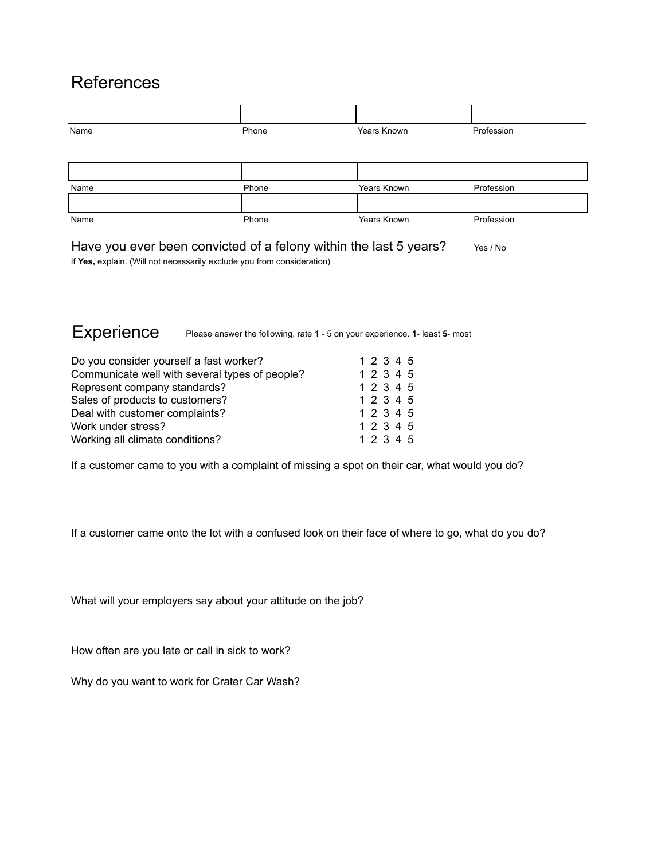### References

| Name | Phone | Years Known | Profession |
|------|-------|-------------|------------|
|      |       |             |            |
|      |       |             |            |
| Name | Phone | Years Known | Profession |
|      |       |             |            |
| Name | Phone | Years Known | Profession |

Have you ever been convicted of a felony within the last 5 years?  $Y_{\text{res}}/N_0$ If **Yes,** explain. (Will not necessarily exclude you from consideration)

Experience Please answer the following, rate 1 - 5 on your experience. **1**- least **5**- most

| Do you consider yourself a fast worker?        | 1 2 3 4 5 |
|------------------------------------------------|-----------|
| Communicate well with several types of people? | 1 2 3 4 5 |
| Represent company standards?                   | 1 2 3 4 5 |
| Sales of products to customers?                | 1 2 3 4 5 |
| Deal with customer complaints?                 | 1 2 3 4 5 |
| Work under stress?                             | 1 2 3 4 5 |
| Working all climate conditions?                | 1 2 3 4 5 |

If a customer came to you with a complaint of missing a spot on their car, what would you do?

If a customer came onto the lot with a confused look on their face of where to go, what do you do?

What will your employers say about your attitude on the job?

How often are you late or call in sick to work?

Why do you want to work for Crater Car Wash?